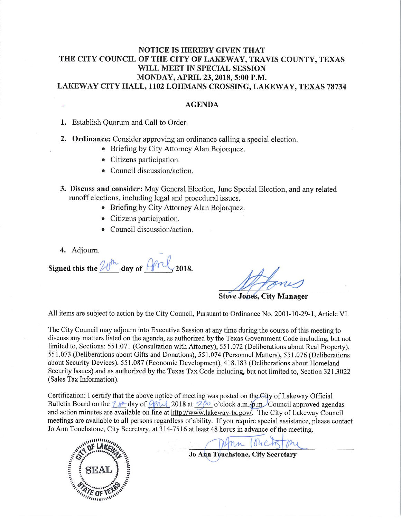### **NOTICE IS HEREBY GIVEN THAT** THE CITY COUNCIL OF THE CITY OF LAKEWAY, TRAVIS COUNTY, TEXAS WILL MEET IN SPECIAL SESSION MONDAY, APRIL 23, 2018, 5:00 P.M. LAKEWAY CITY HALL, 1102 LOHMANS CROSSING, LAKEWAY, TEXAS 78734

### **AGENDA**

1. Establish Quorum and Call to Order.

- 2. Ordinance: Consider approving an ordinance calling a special election.
	- Briefing by City Attorney Alan Bojorquez.
	- Citizens participation.
	- Council discussion/action.
- 3. Discuss and consider: May General Election, June Special Election, and any related runoff elections, including legal and procedural issues.
	- Briefing by City Attorney Alan Bojorquez.
	- Citizens participation.
	- Council discussion/action.
- 4. Adjourn.

Signed this the  $20<sup>h</sup>$  day of  $\Theta$ rl

**Steve Jones, City Manager** 

All items are subject to action by the City Council, Pursuant to Ordinance No. 2001-10-29-1, Article VI.

The City Council may adjourn into Executive Session at any time during the course of this meeting to discuss any matters listed on the agenda, as authorized by the Texas Government Code including, but not limited to, Sections: 551.071 (Consultation with Attorney), 551.072 (Deliberations about Real Property), 551.073 (Deliberations about Gifts and Donations), 551.074 (Personnel Matters), 551.076 (Deliberations about Security Devices), 551.087 (Economic Development), 418.183 (Deliberations about Homeland Security Issues) and as authorized by the Texas Tax Code including, but not limited to, Section 321.3022 (Sales Tax Information).

Certification: I certify that the above notice of meeting was posted on the City of Lakeway Official Bulletin Board on the  $1/n$  day of  $2018$  at  $30$  o'clock a.m./p.m. Council approved agendas and action minutes are available on line at http://www.lakeway-tx.gov/. The City of Lakeway Council meetings are available to all persons regardless of ability. If you require special assistance, please contact Jo Ann Touchstone, City Secretary, at 314-7516 at least 48 hours in advance of the meeting.



nn Ionchstone

**Jo Ann Touchstone, City Secretary**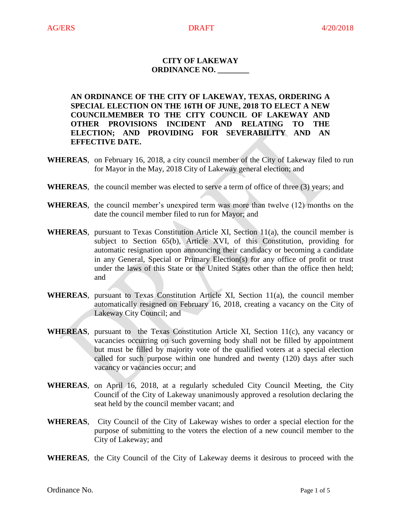## **CITY OF LAKEWAY ORDINANCE NO. \_\_\_\_\_\_\_\_**

**AN ORDINANCE OF THE CITY OF LAKEWAY, TEXAS, ORDERING A SPECIAL ELECTION ON THE 16TH OF JUNE, 2018 TO ELECT A NEW COUNCILMEMBER TO THE CITY COUNCIL OF LAKEWAY AND OTHER PROVISIONS INCIDENT AND RELATING TO THE ELECTION; AND PROVIDING FOR SEVERABILITY AND AN EFFECTIVE DATE.**

- **WHEREAS**, on February 16, 2018, a city council member of the City of Lakeway filed to run for Mayor in the May, 2018 City of Lakeway general election; and
- **WHEREAS**, the council member was elected to serve a term of office of three (3) years; and
- **WHEREAS**, the council member's unexpired term was more than twelve (12) months on the date the council member filed to run for Mayor; and
- **WHEREAS**, pursuant to Texas Constitution Article XI, Section 11(a), the council member is subject to Section [65\(](http://www.statutes.legis.state.tx.us/GetStatute.aspx?Code=CN&Value=16.65)b), Article XVI, of this Constitution, providing for automatic resignation upon announcing their candidacy or becoming a candidate in any General, Special or Primary Election(s) for any office of profit or trust under the laws of this State or the United States other than the office then held; and
- **WHEREAS**, pursuant to Texas Constitution Article XI, Section 11(a), the council member automatically resigned on February 16, 2018, creating a vacancy on the City of Lakeway City Council; and
- **WHEREAS**, pursuant to the Texas Constitution Article XI, Section 11(c), any vacancy or vacancies occurring on such governing body shall not be filled by appointment but must be filled by majority vote of the qualified voters at a special election called for such purpose within one hundred and twenty (120) days after such vacancy or vacancies occur; and
- **WHEREAS**, on April 16, 2018, at a regularly scheduled City Council Meeting, the City Council of the City of Lakeway unanimously approved a resolution declaring the seat held by the council member vacant; and
- **WHEREAS**, City Council of the City of Lakeway wishes to order a special election for the purpose of submitting to the voters the election of a new council member to the City of Lakeway; and
- **WHEREAS**, the City Council of the City of Lakeway deems it desirous to proceed with the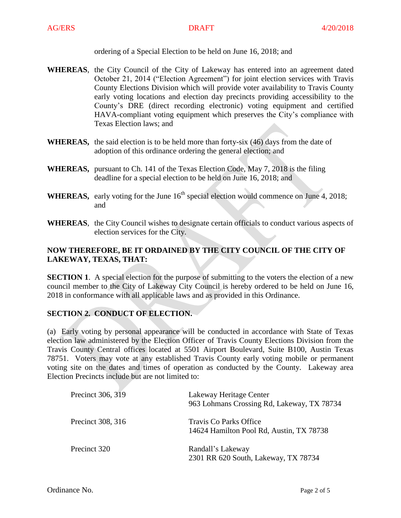ordering of a Special Election to be held on June 16, 2018; and

- **WHEREAS**, the City Council of the City of Lakeway has entered into an agreement dated October 21, 2014 ("Election Agreement") for joint election services with Travis County Elections Division which will provide voter availability to Travis County early voting locations and election day precincts providing accessibility to the County's DRE (direct recording electronic) voting equipment and certified HAVA-compliant voting equipment which preserves the City's compliance with Texas Election laws; and
- **WHEREAS,** the said election is to be held more than forty-six (46) days from the date of adoption of this ordinance ordering the general election; and
- **WHEREAS,** pursuant to Ch. 141 of the Texas Election Code, May 7, 2018 is the filing deadline for a special election to be held on June 16, 2018; and
- **WHEREAS,** early voting for the June  $16<sup>th</sup>$  special election would commence on June 4, 2018; and
- **WHEREAS**, the City Council wishes to designate certain officials to conduct various aspects of election services for the City.

# **NOW THEREFORE, BE IT ORDAINED BY THE CITY COUNCIL OF THE CITY OF LAKEWAY, TEXAS, THAT:**

**SECTION 1.** A special election for the purpose of submitting to the voters the election of a new council member to the City of Lakeway City Council is hereby ordered to be held on June 16, 2018 in conformance with all applicable laws and as provided in this Ordinance.

## **SECTION 2. CONDUCT OF ELECTION.**

(a)Early voting by personal appearance will be conducted in accordance with State of Texas election law administered by the Election Officer of Travis County Elections Division from the Travis County Central offices located at 5501 Airport Boulevard, Suite B100, Austin Texas 78751. Voters may vote at any established Travis County early voting mobile or permanent voting site on the dates and times of operation as conducted by the County. Lakeway area Election Precincts include but are not limited to:

| Precinct 306, 319 | Lakeway Heritage Center<br>963 Lohmans Crossing Rd, Lakeway, TX 78734 |
|-------------------|-----------------------------------------------------------------------|
| Precinct 308, 316 | Travis Co Parks Office<br>14624 Hamilton Pool Rd, Austin, TX 78738    |
| Precinct 320      | Randall's Lakeway<br>2301 RR 620 South, Lakeway, TX 78734             |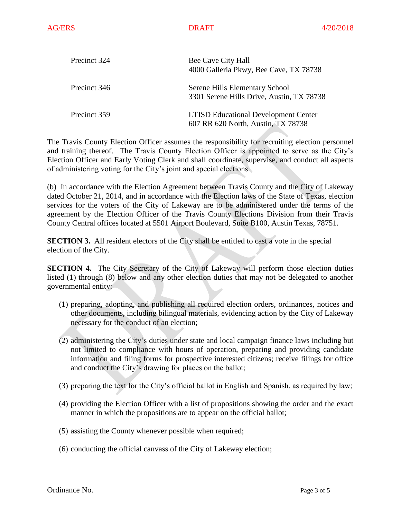| Precinct 324 | Bee Cave City Hall<br>4000 Galleria Pkwy, Bee Cave, TX 78738                      |  |
|--------------|-----------------------------------------------------------------------------------|--|
| Precinct 346 | Serene Hills Elementary School<br>3301 Serene Hills Drive, Austin, TX 78738       |  |
| Precinct 359 | <b>LTISD Educational Development Center</b><br>607 RR 620 North, Austin, TX 78738 |  |

The Travis County Election Officer assumes the responsibility for recruiting election personnel and training thereof. The Travis County Election Officer is appointed to serve as the City's Election Officer and Early Voting Clerk and shall coordinate, supervise, and conduct all aspects of administering voting for the City's joint and special elections.

(b)In accordance with the Election Agreement between Travis County and the City of Lakeway dated October 21, 2014, and in accordance with the Election laws of the State of Texas, election services for the voters of the City of Lakeway are to be administered under the terms of the agreement by the Election Officer of the Travis County Elections Division from their Travis County Central offices located at 5501 Airport Boulevard, Suite B100, Austin Texas, 78751.

**SECTION 3.** All resident electors of the City shall be entitled to cast a vote in the special election of the City.

**SECTION 4.** The City Secretary of the City of Lakeway will perform those election duties listed (1) through (8) below and any other election duties that may not be delegated to another governmental entity:

- (1) preparing, adopting, and publishing all required election orders, ordinances, notices and other documents, including bilingual materials, evidencing action by the City of Lakeway necessary for the conduct of an election;
- (2) administering the City's duties under state and local campaign finance laws including but not limited to compliance with hours of operation, preparing and providing candidate information and filing forms for prospective interested citizens; receive filings for office and conduct the City's drawing for places on the ballot;
- (3) preparing the text for the City's official ballot in English and Spanish, as required by law;
- (4) providing the Election Officer with a list of propositions showing the order and the exact manner in which the propositions are to appear on the official ballot;
- (5) assisting the County whenever possible when required;
- (6) conducting the official canvass of the City of Lakeway election;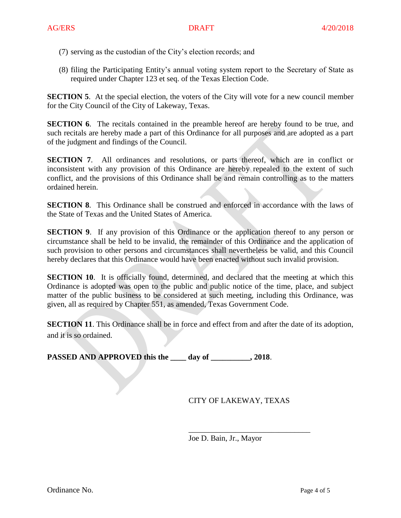- (7) serving as the custodian of the City's election records; and
- (8) filing the Participating Entity's annual voting system report to the Secretary of State as required under Chapter 123 et seq. of the Texas Election Code.

**SECTION 5.** At the special election, the voters of the City will vote for a new council member for the City Council of the City of Lakeway, Texas.

**SECTION 6.** The recitals contained in the preamble hereof are hereby found to be true, and such recitals are hereby made a part of this Ordinance for all purposes and are adopted as a part of the judgment and findings of the Council.

**SECTION 7.** All ordinances and resolutions, or parts thereof, which are in conflict or inconsistent with any provision of this Ordinance are hereby repealed to the extent of such conflict, and the provisions of this Ordinance shall be and remain controlling as to the matters ordained herein.

**SECTION 8**. This Ordinance shall be construed and enforced in accordance with the laws of the State of Texas and the United States of America.

**SECTION 9.** If any provision of this Ordinance or the application thereof to any person or circumstance shall be held to be invalid, the remainder of this Ordinance and the application of such provision to other persons and circumstances shall nevertheless be valid, and this Council hereby declares that this Ordinance would have been enacted without such invalid provision.

**SECTION 10.** It is officially found, determined, and declared that the meeting at which this Ordinance is adopted was open to the public and public notice of the time, place, and subject matter of the public business to be considered at such meeting, including this Ordinance, was given, all as required by Chapter 551, as amended, Texas Government Code.

**SECTION 11.** This Ordinance shall be in force and effect from and after the date of its adoption, and it is so ordained.

PASSED AND APPROVED this the \_\_\_\_ day of \_\_\_\_\_\_\_\_\_, 2018.

CITY OF LAKEWAY, TEXAS

\_\_\_\_\_\_\_\_\_\_\_\_\_\_\_\_\_\_\_\_\_\_\_\_\_\_\_\_\_\_\_

Joe D. Bain, Jr., Mayor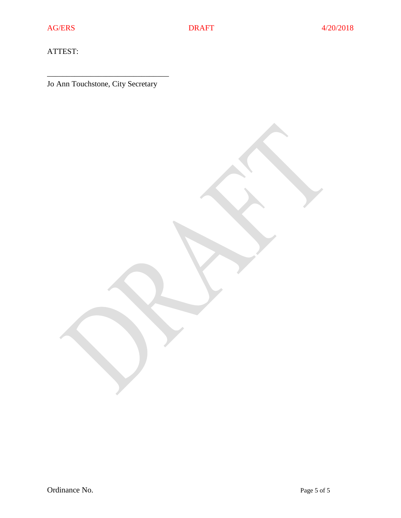ATTEST:

Jo Ann Touchstone, City Secretary

\_\_\_\_\_\_\_\_\_\_\_\_\_\_\_\_\_\_\_\_\_\_\_\_\_\_\_\_\_\_\_